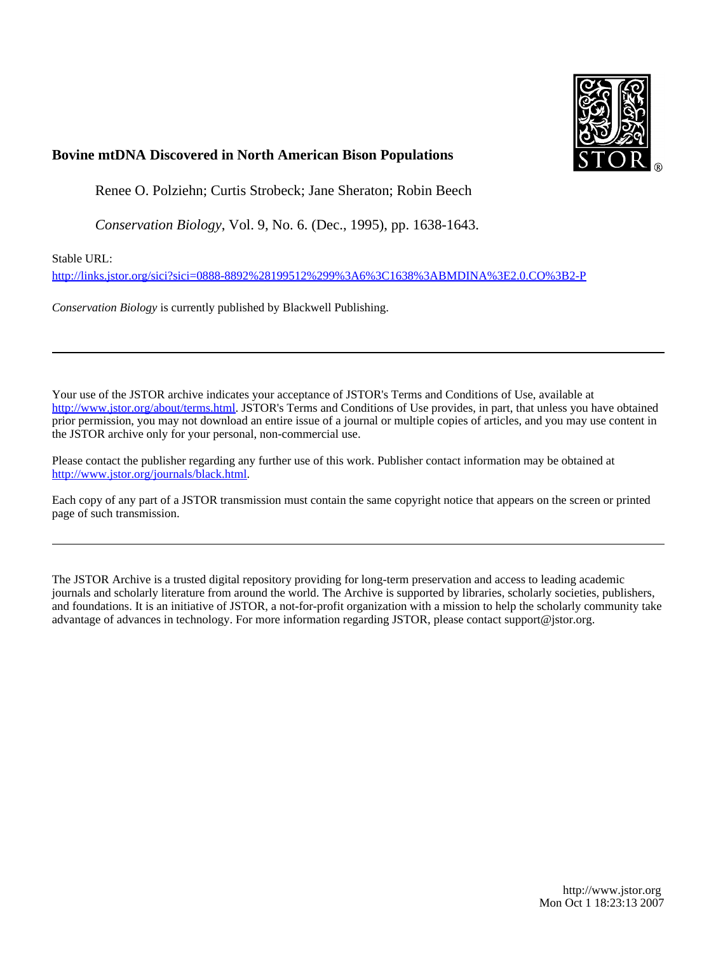

## **Bovine mtDNA Discovered in North American Bison Populations**

Renee O. Polziehn; Curtis Strobeck; Jane Sheraton; Robin Beech

*Conservation Biology*, Vol. 9, No. 6. (Dec., 1995), pp. 1638-1643.

Stable URL:

<http://links.jstor.org/sici?sici=0888-8892%28199512%299%3A6%3C1638%3ABMDINA%3E2.0.CO%3B2-P>

*Conservation Biology* is currently published by Blackwell Publishing.

Your use of the JSTOR archive indicates your acceptance of JSTOR's Terms and Conditions of Use, available at [http://www.jstor.org/about/terms.html.](http://www.jstor.org/about/terms.html) JSTOR's Terms and Conditions of Use provides, in part, that unless you have obtained prior permission, you may not download an entire issue of a journal or multiple copies of articles, and you may use content in the JSTOR archive only for your personal, non-commercial use.

Please contact the publisher regarding any further use of this work. Publisher contact information may be obtained at <http://www.jstor.org/journals/black.html>.

Each copy of any part of a JSTOR transmission must contain the same copyright notice that appears on the screen or printed page of such transmission.

The JSTOR Archive is a trusted digital repository providing for long-term preservation and access to leading academic journals and scholarly literature from around the world. The Archive is supported by libraries, scholarly societies, publishers, and foundations. It is an initiative of JSTOR, a not-for-profit organization with a mission to help the scholarly community take advantage of advances in technology. For more information regarding JSTOR, please contact support@jstor.org.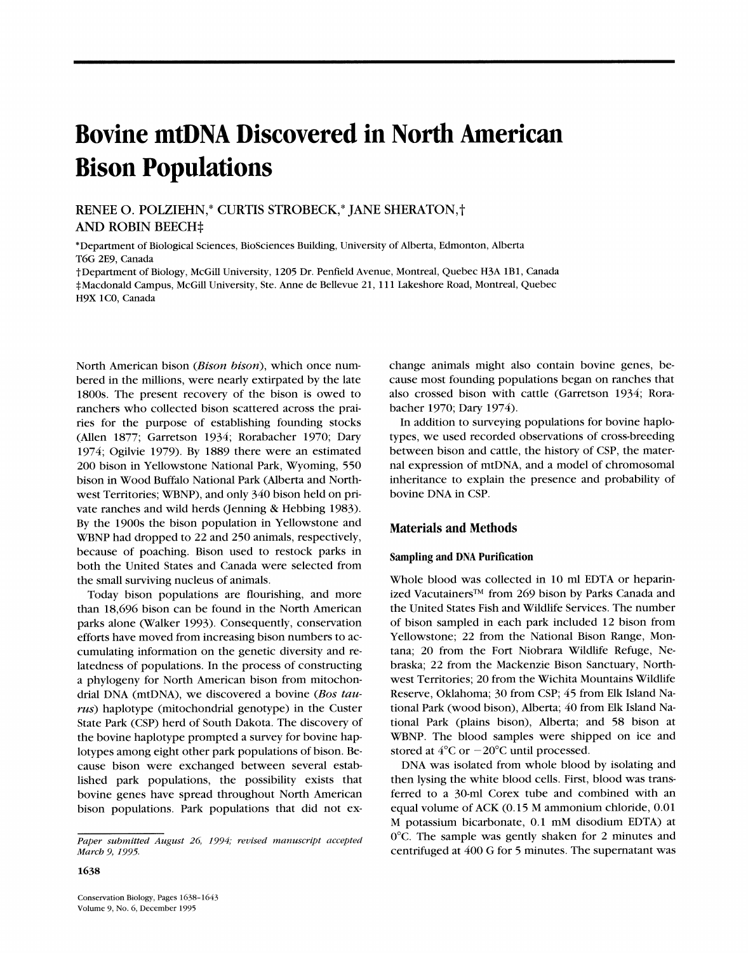# **Bovine mtDNA Discovered in North American Bison Populations**

RENEE 0.POLZIEHN,\* CURTIS STROBECK,\* JANE SHERATON,P AND ROBIN BEECH<sup>+</sup>

\*Department of Biological Sciences, BioSciences Building, University of Alberta, Edmonton, Alberta T6G 2E9, Canada

tDepartment of Biology, McGill University, 1205 Dr. Penfield Avenue, Montreal, Quebec H3A 1B1, Canada \*Macdonald Campus, McGill University, Ste. Anne de Bellewe 21, 11 1 Lakeshore Road, Montreal, Quebec H9X 1C0, Canada

North American bison (Bison bison), which once numbered in the millions, were nearly extirpated by the late 1800s. The present recovery of the bison is owed to ranchers who collected bison scattered across the prairies for the purpose of establishing founding stocks (Allen 1877; Garretson 1934; Rorabacher 1970; Dary 1974; Ogilvie 1979). By 1889 there were an estimated 200 bison in Yellowstone National Park, Wyoming, 550 bison in Wood Buffalo National Park (Alberta and Northwest Territories; WBNP), and only 340 bison held on private ranches and wild herds (Jenning & Hebbing 1983). By the 1900s the bison population in Yellowstone and WBNP had dropped to 22 and 250 animals, respectively, because of poaching. Bison used to restock parks in both the United States and Canada were selected from the small surviving nucleus of animals.

Today bison populations are flourishing, and more than 18,696 bison can be found in the North American parks alone (Walker 1993). Consequently, conservation efforts have moved from increasing bison numbers to accumulating information on the genetic diversity and relatedness of populations. In the process of constructing a phylogeny for North American bison from mitochondrial DNA (mtDNA), we discovered a bovine (Bos tau $rus$ ) haplotype (mitochondrial genotype) in the Custer State Park (CSP) herd of South Dakota. The discovery of the bovine haplotype prompted a survey for bovine haplotypes among eight other park populations of bison. Because bison were exchanged between several established park populations, the possibility exists that bovine genes have spread throughout North American bison populations. Park populations that did not exchange animals might also contain bovine genes, because most founding populations began on ranches that also crossed bison with cattle (Garretson 1934; Rorabacher 1970; Dary 1974).

In addition to surveying populations for bovine haplotypes, we used recorded observations of cross-breeding between bison and cattle, the history of CSP, the maternal expression of mtDNA, and a model of chromosomal inheritance to explain the presence and probability of bovine DNA in CSP.

### **Materials and Methods**

#### **Sampling and DNA Purification**

Whole blood was collected in 10 ml EDTA or heparinized Vacutainers<sup>TM</sup> from 269 bison by Parks Canada and the United States Fish and Wildlife Services. The number of bison sampled in each park included 12 bison from Yellowstone; 22 from the National Bison Range, Montana; 20 from the Fort Niobrara Wildlife Refuge, Nebraska; 22 from the Mackenzie Bison Sanctuary, Northwest Territories; 20 from the Wichita Mountains Wildlife Reserve, Oklahoma; 30 from CSP; 45 from Elk Island National Park (wood bison), Alberta; 40 from Elk Island National Park (plains bison), Alberta; and 58 bison at WBNP. The blood samples were shipped on ice and stored at  $4^{\circ}$ C or  $-20^{\circ}$ C until processed.

DNA was isolated from whole blood by isolating and then lysing the white blood cells. First, blood was transferred to a 30-ml Corex tube and combined with an equal volume of ACK (0.15 M ammonium chloride, 0.01 M potassium bicarbonate, 0.1 mM disodium EDTA) at 0°C. The sample was gently shaken for 2 minutes and centrifuged at 400 G for 5 minutes. The supernatant was

1638

Paper submitted August 26, 1994; revised manuscript accepted *March* 9,*1995.*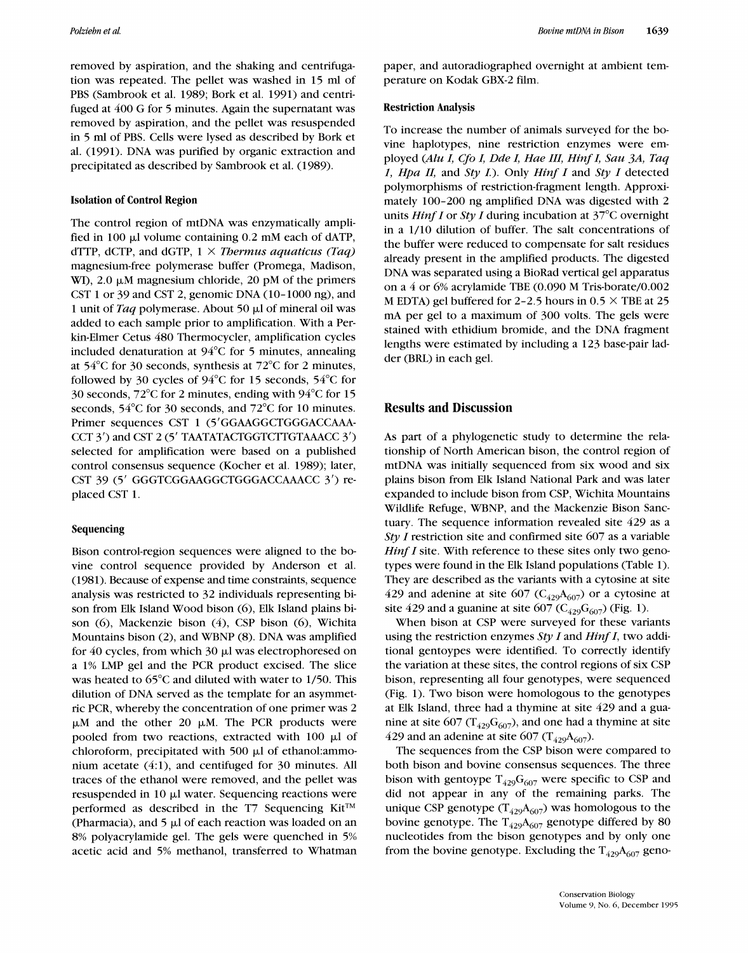removed by aspiration, and the shaking and centrifugation was repeated. The pellet was washed in 15 ml of PBS (Sambrook et al. 1989; Bork et al. 1991) and centrifuged at 400 G for 5 minutes. Again the supernatant was removed by aspiration, and the pellet was resuspended in 5 ml of PBS. Cells were lysed as described by Bork et al. (1991). DNA was purified by organic extraction and precipitated as described by Sambrook et al. (1989).

#### Isolation of Control Region

The control region of mtDNA was enzymatically amplified in 100  $\mu$ I volume containing 0.2 mM each of dATP, dTTP, dCTP, and dGTP,  $1 \times$  *Thermus aquaticus (Taq)* magnesium-free polymerase buffer (Promega, Madison, WI),  $2.0 \mu M$  magnesium chloride,  $20 \mu M$  of the primers CST 1 or 39 and CST 2, genomic DNA (10-1000 ng), and 1 unit of *Taq* polymerase. About 50 p.1 of mineral oil was added to each sample prior to amplification. With a Perkin-Elmer Cetus 480 Thermocycler, amplification cycles included denaturation at 94°C for 5 minutes, annealing at 54°C for 30 seconds, synthesis at 72°C for 2 minutes, followed by 30 cycles of  $94^{\circ}$ C for 15 seconds, 54 $^{\circ}$ C for 30 seconds, 72°C for 2 minutes, ending with 94°C for 15 seconds, 54°C for 30 seconds, and 72°C for 10 minutes. Primer sequences CST 1 (5'GGAAGGCTGGGACCAAA-CCT 3') and CST 2 (5' TAATATACTGGTCTTGTAAACC 3') selected for amplification were based on a published control consensus sequence (Kocher et al. 1989); later, CST 39 (5' GGGTCGGAAGGCTGGGACCAAACC 3') replaced CST 1.

#### Sequencing

Bison control-region sequences were aligned to the bovine control sequence provided by Anderson et al. (1981). Because of expense and time constraints, sequence analysis was restricted to 32 individuals representing bison from Elk Island Wood bison (6), Elk Island plains bison (6), Mackenzie bison (4), CSP bison (6), Wichita Mountains bison (2), and WBNP (8). DNA was amplified for  $40$  cycles, from which  $30 \mu$ l was electrophoresed on a 1% LMP gel and the PCR product excised. The slice was heated to 65°C and diluted with water to 1/50. This dilution of DNA served as the template for an asymmetric PCR, whereby the concentration of one primer was 2  $\mu$ M and the other 20  $\mu$ M. The PCR products were pooled from two reactions, extracted with 100  $\mu$ l of chloroform, precipitated with 500  $\mu$ 1 of ethanol: ammonium acetate  $(4:1)$ , and centifuged for 30 minutes. All traces of the ethanol were removed, and the pellet was resuspended in 10 µl water. Sequencing reactions were performed as described in the T7 Sequencing  $Kit^{TM}$ (Pharmacia), and  $5 \mu$  of each reaction was loaded on an 8% polyacrylamide gel. The gels were quenched in 5% acetic acid and 5% methanol, transferred to Whatman

paper, and autoradiographed overnight at ambient temperature on Kodak GBX-2 film.

#### Restriction Analysis

To increase the number of animals surveyed for the bovine haplotypes, nine restriction enzymes were employed *(Alu I, Cfo I, Dde I, Hue 111, Hinf I, Sau 3A, Taq I, Hpa II,* and *Sty I.).* Only *Hinf I* and *Sty I* detected polymorphisms of restriction-fragment length. Approximately 100-200 ng amplified DNA was digested with 2 units *Hinf I* or *Sty I* during incubation at 37°C overnight in a 1/10 dilution of buffer. The salt concentrations of the buffer were reduced to compensate for salt residues already present in the amplified products. The digested DNA was separated using a BioRad vertical gel apparatus on a 4 or 6% acrylamide TBE (0.090 M Tris-borate/0.002 M EDTA) gel buffered for 2-2.5 hours in  $0.5 \times$  TBE at 25 mA per gel to a maximum of 300 volts. The gels were stained with ethidium bromide, and the DNA fragment lengths were estimated by including a 123 base-pair ladder (BRL) in each gel.

## **Results and Discussion**

As part of a phylogenetic study to determine the relationship of North American bison, the control region of mtDNA was initially sequenced from six wood and six plains bison from Elk Island National Park and was later expanded to include bison from CSP, Wichita Mountains Wildlife Refuge, WBNP, and the Mackenzie Bison Sanctuary. The sequence information revealed site 429 as a *Sty I* restriction site and confirmed site 607 as a variable *Hinf I* site. With reference to these sites only two genotypes were found in the Elk Island populations (Table I). They are described as the variants with a cytosine at site 429 and adenine at site 607 ( $C_{429}A_{607}$ ) or a cytosine at site 429 and a guanine at site 607 ( $C_{429}G_{607}$ ) (Fig. 1).

When bison at CSP were surveyed for these variants using the restriction enzymes *Sty I* and *Hinf I,* two additional gentoypes were identified. To correctly identify the variation at these sites, the control regions of six CSP bison, representing all four genotypes, were sequenced (Fig. I). Two bison were homologous to the genotypes at Elk Island, three had a thymine at site 429 and a guanine at site 607 ( $T_{429}G_{607}$ ), and one had a thymine at site 429 and an adenine at site 607 ( $T_{429}A_{607}$ ).

The sequences from the CSP bison were compared to both bison and bovine consensus sequences. The three bison with gentoype  $T_{429}G_{607}$  were specific to CSP and did not appear in any of the remaining parks. The unique CSP genotype ( $T_{429}A_{607}$ ) was homologous to the bovine genotype. The  $T_{429}A_{607}$  genotype differed by 80 nucleotides from the bison genotypes and by only one from the bovine genotype. Excluding the  $T_{429}A_{607}$  geno-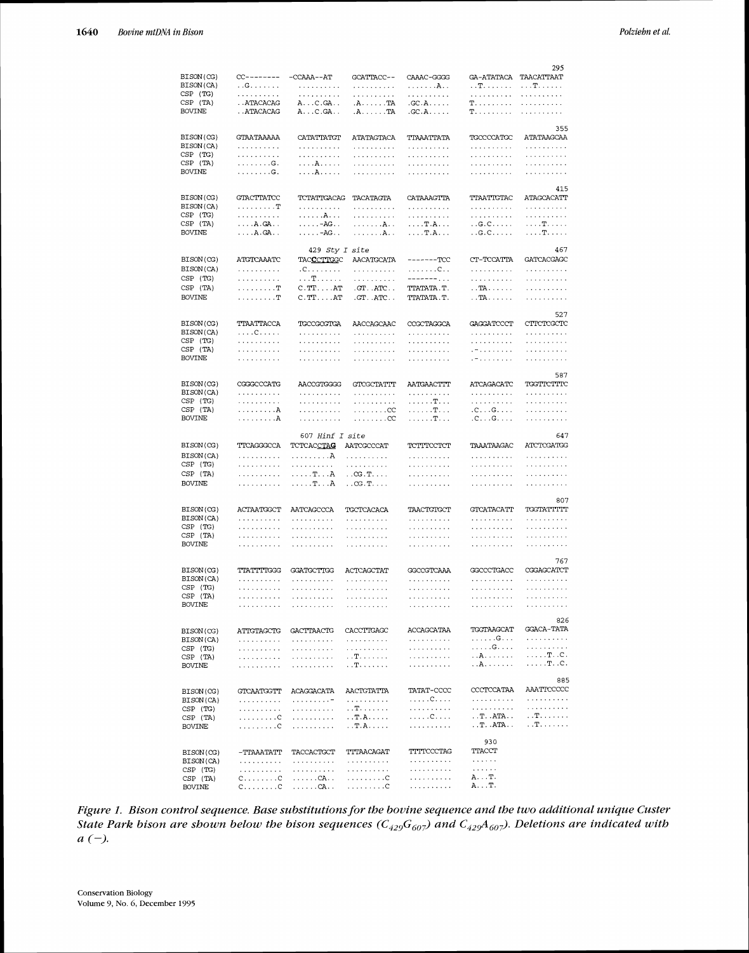|                        |                                     |                            |                                    |                 |                                                    | 295                                                                                                                                                                                                   |
|------------------------|-------------------------------------|----------------------------|------------------------------------|-----------------|----------------------------------------------------|-------------------------------------------------------------------------------------------------------------------------------------------------------------------------------------------------------|
| BISON(CG)              | $CC$ -------                        | $-{\tt CCAAA}-{\tt AT}$    | GCATTACC--                         | CAAAC-GGGG      | GA-ATATACA                                         | TAACATTAAT                                                                                                                                                                                            |
| BISON(CA)              | . .G.                               | .                          | .                                  | . <b>A</b> . .  | $\ldots$ $\mathbf{T}, \ldots, \ldots$ .            | . <b>T</b> .                                                                                                                                                                                          |
| CSP (TG)               | .                                   | .                          | .                                  | .               | .                                                  | .                                                                                                                                                                                                     |
| CSP (TA)               | . . ATACACAG                        | A. C . GA                  | $A \ldots$ . TA                    | .C.C.A.         | T.                                                 | .                                                                                                                                                                                                     |
| BOVINE                 | . . ATACACAG                        | $A \ldots C$ . $GA \ldots$ | .A. TA                             | $.CCA.$         | T.                                                 | .                                                                                                                                                                                                     |
|                        |                                     |                            |                                    |                 |                                                    |                                                                                                                                                                                                       |
|                        |                                     |                            |                                    |                 |                                                    | 355                                                                                                                                                                                                   |
| BISON(CG)<br>BISON(CA) | GTAATAAAAA                          | CATATTATGT                 | ATATAGTACA                         | TTAAATTATA      | TGCCCCATGC                                         | ATATAAGCAA                                                                                                                                                                                            |
|                        | .                                   | .                          | .                                  | .               | .                                                  | $\label{eq:reduced} \begin{split} \mathcal{L}^{\mathcal{A}}(x) & = \mathcal{L}^{\mathcal{A}}(x) \mathcal{L}^{\mathcal{A}}(x) + \mathcal{L}^{\mathcal{A}}(x) \mathcal{L}^{\mathcal{A}}(x) \end{split}$ |
| CSP (TG)               | .                                   | .                          | .                                  | .               | .                                                  | .                                                                                                                                                                                                     |
| CSP (TA)               | .G.                                 | .A.                        | .                                  | .               | .                                                  | والمتمام والمتمام والمناقب                                                                                                                                                                            |
| <b>BOVINE</b>          | .G.                                 | .A.                        | .                                  | .               | .                                                  | .                                                                                                                                                                                                     |
|                        |                                     |                            |                                    |                 |                                                    | 415                                                                                                                                                                                                   |
| BISON(CG)              | GTACTTATCC                          | TCTATTGACAG                | TACATAGTA                          | CATAAAGTTA      | TTAATTGTAC                                         | ATAGCACATT                                                                                                                                                                                            |
| BISON(CA)              | . T                                 | .                          | .                                  | .               | .                                                  | .                                                                                                                                                                                                     |
| CSP (TG)               | .                                   | . A.                       | .                                  | .               | .                                                  | .                                                                                                                                                                                                     |
| CSP (TA)               | $\ldots$ $A$ $\ldots$ $GA$ $\ldots$ | $\ldots \ldots -AG \ldots$ | . <b>A</b> . .                     | . T . A         | $\ldots$ G.C                                       | . <b>T</b> .                                                                                                                                                                                          |
| BOVINE                 | $\ldots$ $A$ . GA $\ldots$          | $\ldots$ - $AG$            | . <b>A</b> . .                     | . T.A.          | $\ldots$ G . C $\ldots$ . $\ldots$                 | . <b>T.</b>                                                                                                                                                                                           |
|                        |                                     |                            |                                    |                 |                                                    |                                                                                                                                                                                                       |
|                        |                                     | 429 Sty I site             |                                    |                 |                                                    | 467                                                                                                                                                                                                   |
| BISON(CG)              | ATGTCAAATC                          | TACCCTTGGC                 | AACATGCATA                         | $------TCC$     | CT-TCCATTA                                         | GATCACGAGC                                                                                                                                                                                            |
| BISON(CA)              | .                                   | .                          | .                                  | .C. .           | .                                                  | .                                                                                                                                                                                                     |
| $CSP$ $(TG)$           | .                                   | . T.                       | .                                  | -------         | .                                                  | والمتحدث والمتحدث                                                                                                                                                                                     |
| CSP (TA)               | . T                                 | $C.TT. \ldots AT$          | $GT$ . ATC                         | TTATATA.T.      | $\ldots$ TA $\ldots$                               | .                                                                                                                                                                                                     |
| <b>BOVINE</b>          | . T                                 | $C.TT. \ldots AT$          | .GT. .ATC. .                       | TTATATA . T .   | $\ldots$ TA $\ldots$ $\ldots$ .                    | .                                                                                                                                                                                                     |
|                        |                                     |                            |                                    |                 |                                                    |                                                                                                                                                                                                       |
|                        |                                     |                            |                                    |                 |                                                    | 527                                                                                                                                                                                                   |
| BISON(CG)              | TTAATTACCA                          | TGCCGCGTGA                 | AACCAGCAAC                         | CCGCTAGGCA      | GAGGATCCCT                                         | CTTCTCGCTC                                                                                                                                                                                            |
| BISON(CA)              | . C                                 | .                          | .                                  | .               | .                                                  | .                                                                                                                                                                                                     |
| CSP (TG)               | .                                   | .                          | .                                  | .               | .                                                  | .                                                                                                                                                                                                     |
| CSP (TA)               | .                                   | .                          | .                                  | .               | . –                                                | والمتحدث والمتواطئ                                                                                                                                                                                    |
| BOVINE                 | .                                   | .                          | .                                  | .               | . –                                                | .                                                                                                                                                                                                     |
|                        |                                     |                            |                                    |                 |                                                    |                                                                                                                                                                                                       |
|                        |                                     |                            |                                    |                 |                                                    | 587                                                                                                                                                                                                   |
| BISON(CG)              | CGGGCCCATG                          | AACCGTGGGG                 | GTCGCTATTT                         | AATGAACTTT      | ATCAGACATC                                         | TGGTTCTTTC                                                                                                                                                                                            |
| BISON(CA)              | .                                   | .                          | .                                  | .               | .                                                  | .                                                                                                                                                                                                     |
| CSP (TG)               | .                                   | .                          | .                                  | . T.            | .                                                  | .                                                                                                                                                                                                     |
| CSP (TA)               | . A                                 | .                          | . 00                               | . T.            | .C. G.                                             | .                                                                                                                                                                                                     |
| BOVINE                 | . A                                 | .                          | . CC                               | .T.             | .C. G.                                             | .                                                                                                                                                                                                     |
|                        |                                     |                            |                                    |                 |                                                    |                                                                                                                                                                                                       |
|                        |                                     |                            |                                    |                 |                                                    |                                                                                                                                                                                                       |
|                        |                                     | <i>607 Hinf I site</i>     |                                    |                 |                                                    | 647                                                                                                                                                                                                   |
| BISON(CG)              | TTCAGGGCCA                          | TCTCAC <u>CTAC</u>         | AATCGCCCAT                         | ТСТТТССТСТ      | TAAATAAGAC                                         | ATCTCGATGG                                                                                                                                                                                            |
| BISON(CA)              | .                                   | . A                        | .                                  | .               | .                                                  | .                                                                                                                                                                                                     |
| CSP (TG)               | .                                   | .                          | والمتحدث والمتواطئ                 | .               | .                                                  | .                                                                                                                                                                                                     |
| CSP (TA)               | .                                   | . T. A                     | $\ldots$ CG $\ldots$ T. $\ldots$ . | .               | .                                                  | والمتحدث والمتماري                                                                                                                                                                                    |
| <b>BOVINE</b>          | .                                   | . <b>T. A</b>              | $\ldots$ CG . T $\ldots$ .         | .               | .                                                  | .                                                                                                                                                                                                     |
|                        |                                     |                            |                                    |                 |                                                    |                                                                                                                                                                                                       |
|                        |                                     |                            |                                    |                 |                                                    | 807                                                                                                                                                                                                   |
| BISON(CG)              | ACTAATGGCT                          | AATCAGCCCA                 | TGCTCACACA                         | TAACTGTGCT      | GTCATACATT                                         | TGGTATITITI                                                                                                                                                                                           |
| BISON(CA)              | .                                   | .                          | .                                  | .               | .                                                  | $\alpha$ is a second contract of $\alpha$                                                                                                                                                             |
| CSP (TG)               | .                                   | .                          | .                                  | .               | .                                                  | والمتحدث والمتحدث                                                                                                                                                                                     |
| CSP (TA)               | .                                   | .                          | .                                  | .               | .                                                  | .                                                                                                                                                                                                     |
| <b>BOVINE</b>          | .                                   | .                          | .                                  | .               | .                                                  | والمتمام والمتماري                                                                                                                                                                                    |
|                        |                                     |                            |                                    |                 |                                                    |                                                                                                                                                                                                       |
| BISON(CG)              | TTATTTTGGG                          | <b>GGATGCTTGG</b>          | ACTCAGCTAT                         |                 |                                                    | 767                                                                                                                                                                                                   |
| BISON(CA)              | .                                   | .                          | .                                  | GGCCGTCAAA<br>. | GGCCCTGACC<br>.                                    | CGGAGCATCT<br>.                                                                                                                                                                                       |
| CSP (TG)               |                                     |                            |                                    | .               |                                                    |                                                                                                                                                                                                       |
| CSP (TA)               | .<br>.                              | .<br>.                     | .<br>.                             |                 | .<br>.                                             | والمتحدث والمتواطئ<br>.                                                                                                                                                                               |
| BOVINE                 | .                                   | .                          | والمتحدث والمتماري                 | .<br>.          | .                                                  | .                                                                                                                                                                                                     |
|                        |                                     |                            |                                    |                 |                                                    |                                                                                                                                                                                                       |
|                        |                                     |                            |                                    |                 |                                                    | 826                                                                                                                                                                                                   |
| BISON(CG)              | ATTGTAGCTG                          | GACTTAACTG                 | CACCTTGAGC                         | ACCAGCATAA      | TGGTAAGCAT                                         | GGACA-TATA                                                                                                                                                                                            |
| BISON(CA)              | .                                   | .                          | .                                  | .               | .G.                                                | .                                                                                                                                                                                                     |
| $CSP$ $(TG)$           | .                                   | .                          | .                                  | .               | .G.                                                | .                                                                                                                                                                                                     |
| $CSP$ $(TA)$           | .                                   | .                          | . . <b>T</b> .                     | .               | . . <b>A</b>                                       | $\ldots$ . T. .C.                                                                                                                                                                                     |
| BOVINE                 | .                                   | .                          | . . T.                             | .               | . . A                                              | . T. .C.                                                                                                                                                                                              |
|                        |                                     |                            |                                    |                 |                                                    | 885                                                                                                                                                                                                   |
|                        |                                     |                            |                                    |                 | CCCTCCATAA                                         |                                                                                                                                                                                                       |
| BISON(CG)              | GTCAATGGTT                          | ACAGGACATA                 | AACTGTATTA                         | TATAT-CCCC      |                                                    | AAATTCCCCC<br>.                                                                                                                                                                                       |
| BISON(CA)              | .                                   | .                          | .                                  | . C.            | .<br>.                                             | .                                                                                                                                                                                                     |
| $CSP$ $(TG)$           | .                                   | .                          | . . T.                             | .               | $\ldots$ $\mathrm{T} \ldots$ $\mathrm{ATA} \ldots$ | . . T.                                                                                                                                                                                                |
| CSP (TA)               | . C                                 | .                          | . . T.A.<br>. . T.A.               | .C.<br>.        | $\ldots$ $\rm{T}$ $\ldots$ $\rm{ATA}$ $\ldots$     | . .T.                                                                                                                                                                                                 |
| <b>BOVINE</b>          | . C                                 | .                          |                                    |                 |                                                    |                                                                                                                                                                                                       |
|                        |                                     |                            |                                    |                 | 930                                                |                                                                                                                                                                                                       |
| BISON(CG)              | -TTAAATATT                          | TACCACTGCT                 | TTTAACAGAT                         | TTTTCCCTAG      | TTACCT                                             |                                                                                                                                                                                                       |
| BISON(CA)              | .                                   | .                          | .                                  | .               | .                                                  |                                                                                                                                                                                                       |
| $CSP$ $(TG)$           | .                                   | .                          | .                                  | .               | .                                                  |                                                                                                                                                                                                       |
| $CSP$ $(TA)$           | C. C                                | . CA                       | . 0<br>. C                         | .               | A. T.<br>A. T.                                     |                                                                                                                                                                                                       |

*Figure I. Bison control sequence. Base substitutions for the bovine sequence and the two additional unique Custer State Park bison are shown below the bison sequences*  $(C_{429}G_{607})$  and  $C_{429}A_{607}$ ). Deletions are indicated with *a*( $-$ ).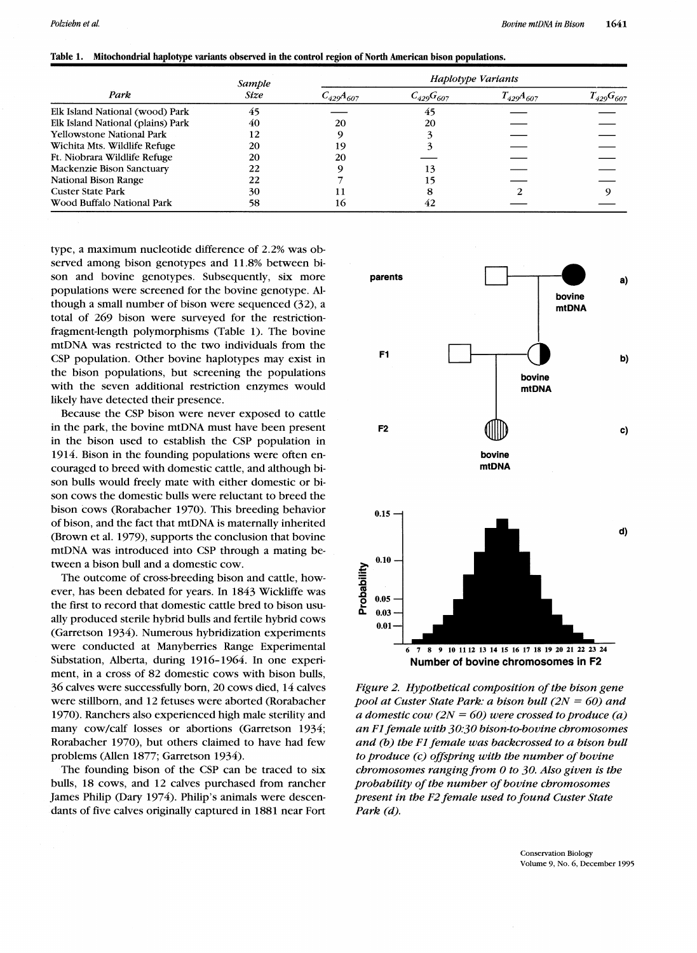| Table 1. Mitochondrial haplotype variants observed in the control region of North American bison populations. |  |
|---------------------------------------------------------------------------------------------------------------|--|
|---------------------------------------------------------------------------------------------------------------|--|

|                                   | Sample<br>Size | Haplotype Variants |                  |                  |                  |  |
|-----------------------------------|----------------|--------------------|------------------|------------------|------------------|--|
| Park                              |                | $C_{429}A_{607}$   | $C_{429}G_{607}$ | $T_{429}A_{607}$ | $T_{429}G_{607}$ |  |
| Elk Island National (wood) Park   | 45             |                    | 45               |                  |                  |  |
| Elk Island National (plains) Park | 40             | 20                 | 20               |                  |                  |  |
| <b>Yellowstone National Park</b>  | 12             |                    |                  |                  |                  |  |
| Wichita Mts. Wildlife Refuge      | 20             |                    |                  |                  |                  |  |
| Ft. Niobrara Wildlife Refuge      | 20             | 20                 |                  |                  |                  |  |
| Mackenzie Bison Sanctuary         | 22             |                    |                  |                  |                  |  |
| National Bison Range              | 22             |                    |                  |                  |                  |  |
| <b>Custer State Park</b>          | 30             |                    |                  |                  |                  |  |
| Wood Buffalo National Park        | 58             | ю                  | 42               |                  |                  |  |

type, a maximum nucleotide difference of 2.2% was observed among bison genotypes and 11.8% between bison and bovine genotypes. Subsequently, six more populations were screened for the bovine genotype. Although a small number of bison were sequenced (32), a total of 269 bison were surveyed for the restrictionfragment-length polymorphisms (Table 1). The bovine mtDNA was restricted to the two individuals from the CSP population. Other bovine haplotypes may exist in the bison populations, but screening the populations with the seven additional restriction enzymes would likely have detected their presence.

Because the CSP bison were never exposed to cattle in the park, the bovine mtDNA must have been present in the bison used to establish the CSP population in 1914. Bison in the founding populations were often encouraged to breed with domestic cattle, and although bison bulls would freely mate with either domestic or bison cows the domestic bulls were reluctant to breed the bison cows (Rorabacher 1970). This breeding behavior of bison, and the fact that mtDNA is maternally inherited (Brown et al. 1979), supports the conclusion that bovine mtDNA was introduced into CSP through a mating between a bison bull and a domestic cow.

The outcome of cross-breeding bison and cattle, however, has been debated for years. In 1843 Wickliffe was the first to record that domestic cattle bred to bison usually produced sterile hybrid bulls and fertile hybrid cows (Garretson 1934). Numerous hybridization experiments were conducted at Manyberries Range Experimental Substation, Alberta, during 1916-1964. In one experiment, in a cross of 82 domestic cows with bison bulls, 36 calves were successfully born, 20 cows died, 14 calves were stillborn, and 12 fetuses were aborted (Rorabacher 1970). Ranchers also experienced high male sterility and many cow/calf losses or abortions (Garretson 1934; Rorabacher 1970), but others claimed to have had few problems (Allen 1877; Garretson 1934).

The founding bison of the CSP can be traced to six bulls, 18 cows, and 12 calves purchased from rancher James Philip (Dary 1974). Philip's animals were descendants of five calves originally captured in 1881 near Fort



*Figure 2. Hypothetical composition of the bison gene pool at Custer State Park: a bison bull (2N = 60) and a domestic cow (2N* = *60) were crossed to produce (a) an Fl female with 30;30 bison-to-bovine chromosomes and* (b) *the FI female was backcrossed to a bison bull to produce (c) offspring with the number of bovine chromosomes ranging from 0 to 30. Also given is the probability of the number of bovine chromosomes present in the F2 female used to found Custer State Park (d).*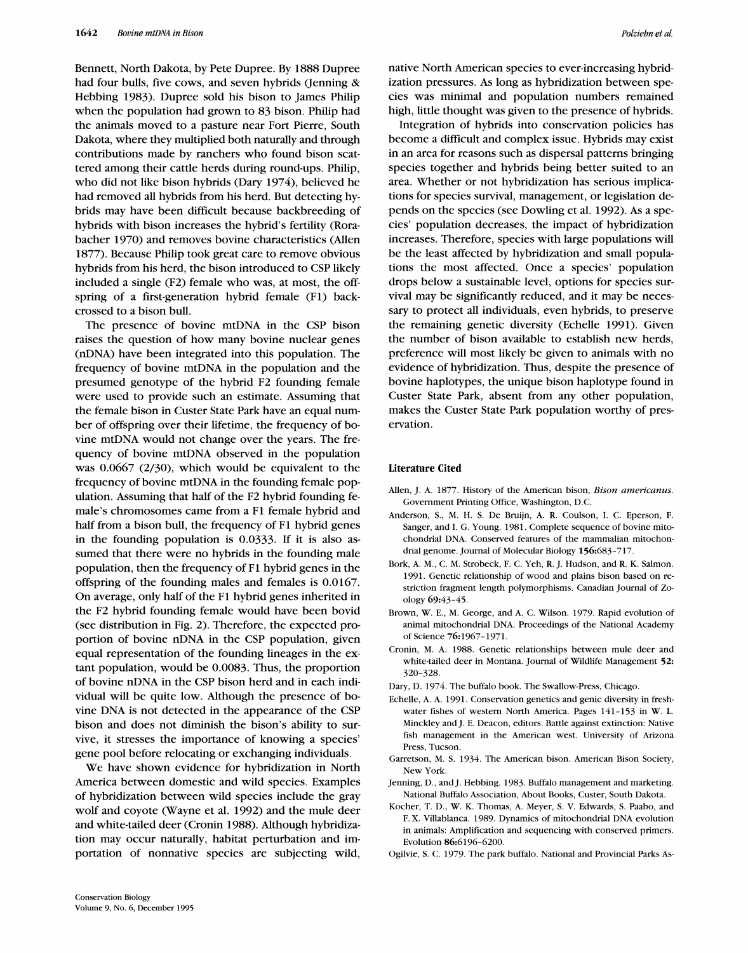Bennett, North Dakota, by Pete Dupree. By 1888 Dupree had four bulls, five cows, and seven hybrids (Jenning & Hebbing 1983). Dupree sold his bison to James Philip when the population had grown to 83 bison. Philip had the animals moved to a pasture near Fort Pierre, South Dakota, where they multiplied both naturally and through contributions made by ranchers who found bison scattered among their cattle herds during round-ups. Philip, who did not like bison hybrids (Dary 1974), believed he had removed all hybrids from his herd. But detecting hybrids may have been difficult because backbreeding of hybrids with bison increases the hybrid's fertility (Rorabacher 1970) and removes bovine characteristics (Allen 1877). Because Philip took great care to remove obvious hybrids from his herd, the bison introduced to CSP likely included a single (F2) female who was, at most, the offspring of a first-generation hybrid female (Fl) backcrossed to a bison bull.

The presence of bovine mtDNA in the CSP bison raises the question of how many bovine nuclear genes (nDNA) have been integrated into this population. The frequency of bovine mtDNA in the population and the presumed genotype of the hybrid F2 founding female were used to provide such an estimate. Assuming that the female bison in Custer State Park have an equal number of offspring over their lifetime, the frequency of bovine mtDNA would not change over the years. The frequency of bovine mtDNA observed in the population was 0.0667 (2/30), which would be equivalent to the frequency of bovine mtDNA in the founding female population. Assuming that half of the F2 hybrid founding female's chromosomes came from a F1 female hybrid and half from a bison bull, the frequency of F1 hybrid genes in the founding population is 0.0333. If it is also assumed that there were no hybrids in the founding male population, then the frequency of Fl hybrid genes in the offspring of the founding males and females is 0.0167. On average, only half of the Fl hybrid genes inherited in the F2 hybrid founding female would have been bovid (see distribution in Fig. 2). Therefore, the expected proportion of bovine nDNA in the CSP population, given equal representation of the founding lineages in the extant population, would be 0.0083. Thus, the proportion of bovine nDNA in the CSP bison herd and in each individual will be quite low. Although the presence of bovine DNA is not detected in the appearance of the CSP bison and does not diminish the bison's ability to survive, it stresses the importance of knowing a species' gene pool before relocating or exchanging individuals.

We have shown evidence for hybridization in North America between domestic and wild species. Examples of hybridization between wild species include the gray wolf and coyote (Wayne et al. 1992) and the mule deer and white-tailed deer (Cronin 1988). Although hybridization may occur naturally, habitat perturbation and importation of nonnative species are subjecting wild,

native North American species to ever-increasing hybridization pressures. As long as hybridization between species was minimal and population numbers remained high, little thought was given to the presence of hybrids.

Integration of hybrids into conservation policies has become a difficult and complex issue. Hybrids may exist in an area for reasons such as dispersal patterns bringing species together and hybrids being better suited to an area. Whether or not hybridization has serious implications for species survival, management, or legislation depends on the species (see Dowling et al. 1992). As a species' population decreases, the impact of hybridization increases. Therefore, species with large populations will be the least affected by hybridization and small populations the most affected. Once a species' population drops below a sustainable level, options for species survival may be significantly reduced, and it may be necessary to protect all individuals, even hybrids, to preserve the remaining genetic diversity (Echelle 1991). Given the number of bison available to establish new herds, preference will most likely be given to animals with no evidence of hybridization. Thus, despite the presence of bovine haplotypes, the unique bison haplotype found in Custer State Park, absent from any other population, makes the Custer State Park population worthy of preservation.

#### Literature Cited

- Allen, J. A. 1877. History of the American bison, *Bison americanus*. Government Printing Office, Washington, D.C.
- Anderson, S., M. H. S. De Bruijn, A. R. Coulson, I. C. Eperson, F. Sanger, and I. G. Young. 1981. Complete sequence of bovine mitochondrial DNA. Conserved features of the mammalian mitochondrial genome. Journal of Molecular Biology 156:683-717.
- Bork, A. M., C. M. Strobeck, F. C. Yeh, R. J. Hudson, and R. K. Salmon. 1991. Genetic relationship of wood and plains bison based on restriction fragment length polymorphisms. Canadian Journal of Zoology 69:43-45.
- Brown, W. E., M. George, and A. C. Wilson. 1979. Rapid evolution of animal mitochondrial DNA. Proceedings of the National Academy of Science 76:1967-1971.
- Cronin, M. A. 1988. Genetic relationships between mule deer and white-tailed deer in Montana. Journal of Wildlife Management 52: 320-328.
- Dary, D. 1974. The buffalo book. The Swallow-Press, Chicago.
- Echelle, A. A. 1991. Conservation genetics and genic diversity in fresh water fishes of western North America. Pages 141-153 in W. L. Minckley and J. E. Deacon, editors. Battle against extinction: Native fish management in the American west. University of hrizona Press, Tucson
- Garretson, M. S. 1934. The American bison. American Bison Society, New York.
- Jenning, D., and J. Hebbing. 1983. Buffalo management and marketing. National Buffalo Association, About Books, Custer, South Dakota.
- Kocher, T. D., W. K. Thomas, A. Meyer, S. V. Edwards, S. Paabo, and F. X. Villablanca. 1989. Dynamics of mitochondrial DNA evolution in animals: Amplification and sequencing with conserved primers. Evolution 86:6196-6200.
- Ogilvie, S. C. 1979. The park buffalo. National and Provincial Parks As-